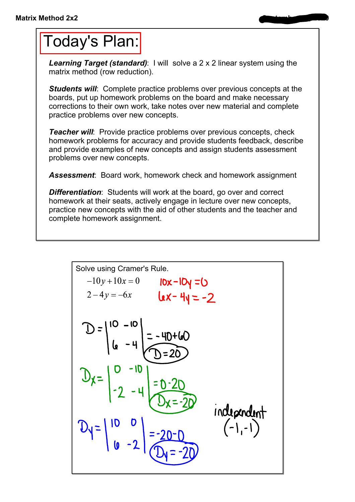## Today's Plan:

**Learning Target (standard):** I will solve a 2 x 2 linear system using the matrix method (row reduction).

**Students will:** Complete practice problems over previous concepts at the boards, put up homework problems on the board and make necessary corrections to their own work, take notes over new material and complete practice problems over new concepts.

*Teacher will:* Provide practice problems over previous concepts, check homework problems for accuracy and provide students feedback, describe and provide examples of new concepts and assign students assessment problems over new concepts.

*Assessment*: Board work, homework check and homework assignment

**Differentiation:** Students will work at the board, go over and correct homework at their seats, actively engage in lecture over new concepts, practice new concepts with the aid of other students and the teacher and complete homework assignment.

Solve using Cramer's Rule.  
\n
$$
-10y+10x = 0
$$
 **10x** - **10y** = **0**  
\n $2-4y = -6x$  **10x** - **10y** = **0**  
\n $2-4y = -6x$  **10x** - **10y** = **0**  
\n $2-4y = -6x$  **10x** - **10y** = **20**  
\n $2-4y = -6x$  **10x** - **10y**  
\n $2-4y = -6x$  **10x** - **10y**  
\n $2-4y = -6x$  **10x** - **10y**  
\n $2-4y = -6x$  **10x** - **10y**  
\n $2-4y = -6x$  **10x** - **10y** = **2**  
\n $2-4y = -6x$  **10x** - **10y** = **2**  
\n $2-4y = -6x$  **10x** - **10y** = **2**  
\n $2-4y = -6x$  **10x** - **10y** = **2**  
\n $2-4y = -6x$  **10x** - **10y** = **2**  
\n $2-4y = -6x$  **10x** - **10y** = **2**  
\n $2-4y = -6x$  **10x** - **10y** = **2**  
\n $2-4y = -6x$  **10x** - **10y** = **2**  
\n $2-4y = -6x$  **10x** - **10y** = **2**  
\n $2-4y = -6x$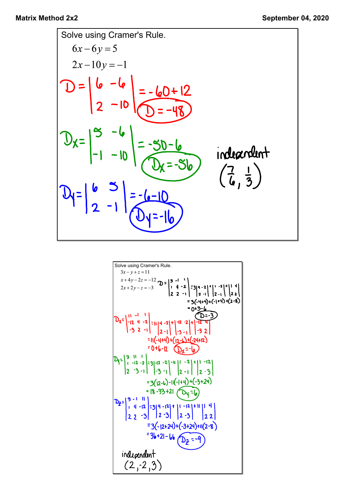

Solve using Cramer's Rule.  
\n
$$
3x-y+z=11
$$
  
\n $x+4y-2z=-12$   $D = \begin{vmatrix} 3 & -1 & 1 \ 1 & 4 & -2 \ 2 & 2 & -1 \end{vmatrix} = 3(4-2)^{-1} [3(4-2)^{-1}] = 2 + 1$   
\n $= 3(-4+4) + (-1+4) + (2-8) = 5(4+4) + (-1+4) + (2-8) = 6+3-6$   
\n $= 6+3-6$   
\n $Dx = \begin{vmatrix} 11 & -1 & 1 \ -12 & 4 & -2 \ -12 & 4 & -2 \end{vmatrix} = 11(4-2)^{-1} [3 - 1] = 12 - 2$   
\n $= 11(-4+4) + (12-1) + (-2) + (-2+12)$   
\n $= 0 + 6 - 12$   $2x = -6$   
\n $= 6 + 32$   
\n $= 11(-4+4) + (-12-1) + (-2) + (-2+12)$   
\n $= 6 + 32$   
\n $= 3(12-6) - 11(-1+4) + (-3+24)$   
\n $= 18 - 33 + 21$   $2x = -1$   
\n $= 12 - 3$   $3x = -1$   $3x = 1$   $2x = -3$   
\n $= 3(2-2) - 11(-1+4) + (-3+24)$   
\n $= 12 - 3$   $3x = 12$   $3x = 12$   $3x = 12$   
\n $= 3(-12+24) + (-3+24) + 11(2-8)$   
\n $= 31-21-16$   $3x = -9$   
\n $3x-y+z=11$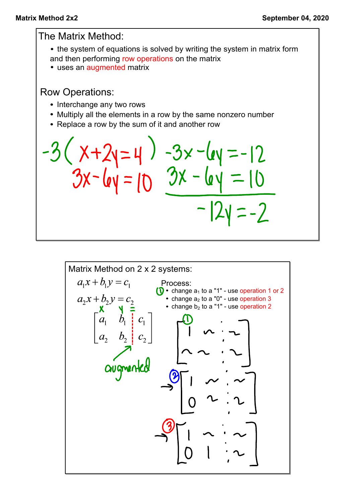The Matrix Method: • the system of equations is solved by writing the system in matrix form and then performing row operations on the matrix • uses an augmented matrix Row Operations: • Interchange any two rows • Multiply all the elements in a row by the same nonzero number • Replace a row by the sum of it and another row  $X+2y=4$ ) -3x-ley =-12<br>3x-ley = 10 3x - ley = 10  $= -2$ 

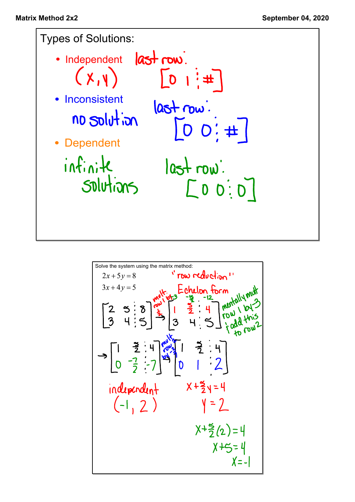

Solve the system using the matrix method:  
\n
$$
2x+5y=8
$$
 **Problem**  
\n $3x+4y=5$   
\n $3x+4y=5$   
\n $3x+4y=5$   
\n $3x+4y=5$   
\n $3x+4y=5$   
\n $3x+4y=5$   
\n $3x+4y=5$   
\n $3x+4y=5$   
\n $3x+4y=5$   
\n $3x+4y=5$   
\n $3x+4y=5$   
\n $3x+4y=5$   
\n $3x+4y=5$   
\n $3x+4y=5$   
\n $3x+4y=5$   
\n $3x+4y=5$   
\n $3x+4y=5$   
\n $3x+4y=5$   
\n $3x+4y=5$   
\n $3x+4y=5$   
\n $3x+5y=4$   
\n $3x+5=4$   
\n $3x+5=4$   
\n $3x+5=4$   
\n $3x+5=4$   
\n $3x+2y=1$   
\n $3x+6y=1$   
\n $3x+3y=5$   
\n $3x+4y=5$   
\n $3x+4y=5$   
\n $3x+4y=5$   
\n $3x+4y=5$   
\n $3x+4y=5$   
\n $3x+4y=5$   
\n $3x+4y=5$   
\n $3x+4y=5$   
\n $3x+4y=5$   
\n $3x+4y=5$   
\n $3x+4y=5$   
\n $3x+4y=5$   
\n $3x+4y=5$   
\n $3x+4y=5$   
\n $3x+4y=5$   
\n $3x+4y=5$   
\n $3x+4y=5$   
\n $3x+4y=5$